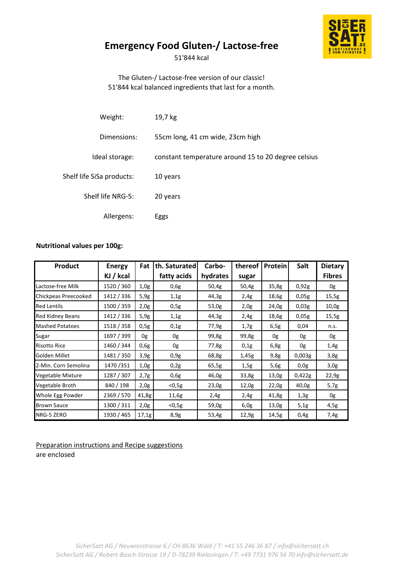

## **Emergency Food Gluten-/ Lactose-free**

51'844 kcal

The Gluten-/ Lactose-free version of our classic! 51'844 kcal balanced ingredients that last for a month.

| Weight:                   | 19,7 kg                                             |
|---------------------------|-----------------------------------------------------|
| Dimensions:               | 55cm long, 41 cm wide, 23cm high                    |
| Ideal storage:            | constant temperature around 15 to 20 degree celsius |
| Shelf life SiSa products: | 10 years                                            |
| Shelf life NRG-5:         | 20 years                                            |
| Allergens:                | Eggs                                                |

## **Nutritional values per 100g:**

| <b>Product</b>         | <b>Energy</b> | Fat   | th. Saturated | Carbo-   | thereof | <b>Protein</b> | Salt   | <b>Dietary</b> |
|------------------------|---------------|-------|---------------|----------|---------|----------------|--------|----------------|
|                        | KJ / kcal     |       | fatty acids   | hydrates | sugar   |                |        | <b>Fibres</b>  |
| Lactose-free Milk      | 1520 / 360    | 1,0g  | 0,6g          | 50,4g    | 50,4g   | 35,8g          | 0,92g  | 0g             |
| Chickpeas Preecooked   | 1412 / 336    | 5,9g  | 1,1g          | 44,3g    | 2,4g    | 18,6g          | 0,05g  | 15,5g          |
| <b>Red Lentils</b>     | 1500 / 359    | 2,0g  | 0,5g          | 53,0g    | 2,0g    | 24,0g          | 0,03g  | 10,0g          |
| Red Kidney Beans       | 1412 / 336    | 5,9g  | 1,1g          | 44,3g    | 2,4g    | 18,6g          | 0,05g  | 15,5g          |
| <b>Mashed Potatoes</b> | 1518 / 358    | 0,5g  | 0,1g          | 77,9g    | 1,7g    | 6,5g           | 0,04   | n.s.           |
| Sugar                  | 1697 / 399    | 0g    | 0g            | 99,8g    | 99,8g   | 0g             | 0g     | 0g             |
| <b>Risotto Rice</b>    | 1460 / 344    | 0,6g  | 0g            | 77,8g    | 0,1g    | 6,8g           | 0g     | 1,4g           |
| Golden Millet          | 1481 / 350    | 3,9g  | 0,9g          | 68,8g    | 1,45g   | 9,8g           | 0,003g | 3,8g           |
| 2-Min. Corn Semolina   | 1470 / 351    | 1,0g  | 0,2g          | 65,5g    | 1,5g    | 5,6g           | 0,0g   | 3,0g           |
| Vegetable Mixture      | 1287 / 307    | 2,7g  | 0,6g          | 46,0g    | 33,8g   | 13,0g          | 0,422g | 22,9g          |
| Vegetable Broth        | 840 / 198     | 2,0g  | $<$ 0,5g      | 23,0g    | 12,0g   | 22,0g          | 40,0g  | 5,7g           |
| Whole Egg Powder       | 2369 / 570    | 41,8g | 11,6g         | 2,4g     | 2,4g    | 41,8g          | 1,3g   | 0g             |
| <b>Brown Sauce</b>     | 1300 / 311    | 2,0g  | $<$ 0,5g      | 59,0g    | 6,0g    | 13,0g          | 5,1g   | 4,5g           |
| NRG-5 ZERO             | 1930 / 465    | 17,1g | 8,9g          | 53,4g    | 12,9g   | 14,5g          | 0,4g   | 7,4g           |

Preparation instructions and Recipe suggestions are enclosed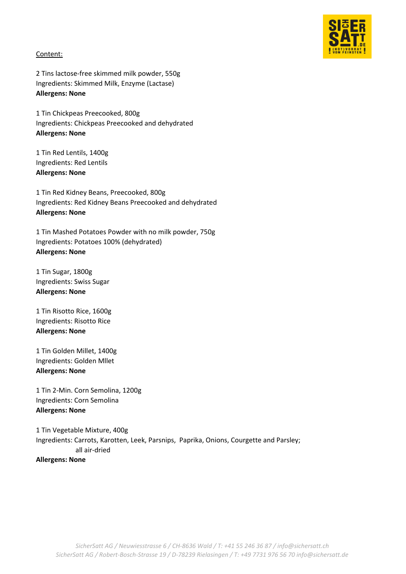

## Content:

2 Tins lactose-free skimmed milk powder, 550g Ingredients: Skimmed Milk, Enzyme (Lactase) **Allergens: None**

1 Tin Chickpeas Preecooked, 800g Ingredients: Chickpeas Preecooked and dehydrated **Allergens: None**

1 Tin Red Lentils, 1400g Ingredients: Red Lentils **Allergens: None**

1 Tin Red Kidney Beans, Preecooked, 800g Ingredients: Red Kidney Beans Preecooked and dehydrated **Allergens: None**

1 Tin Mashed Potatoes Powder with no milk powder, 750g Ingredients: Potatoes 100% (dehydrated) **Allergens: None**

1 Tin Sugar, 1800g Ingredients: Swiss Sugar **Allergens: None**

1 Tin Risotto Rice, 1600g Ingredients: Risotto Rice **Allergens: None**

1 Tin Golden Millet, 1400g Ingredients: Golden Mllet **Allergens: None**

1 Tin 2-Min. Corn Semolina, 1200g Ingredients: Corn Semolina **Allergens: None**

1 Tin Vegetable Mixture, 400g Ingredients: Carrots, Karotten, Leek, Parsnips, Paprika, Onions, Courgette and Parsley; all air-dried **Allergens: None**